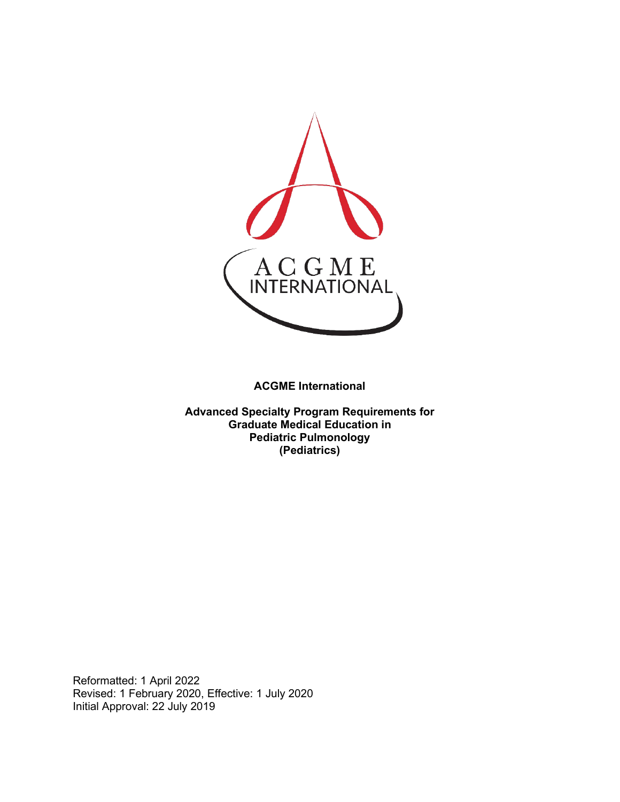

**ACGME International** 

**Advanced Specialty Program Requirements for Graduate Medical Education in Pediatric Pulmonology (Pediatrics)**

Reformatted: 1 April 2022 Revised: 1 February 2020, Effective: 1 July 2020 Initial Approval: 22 July 2019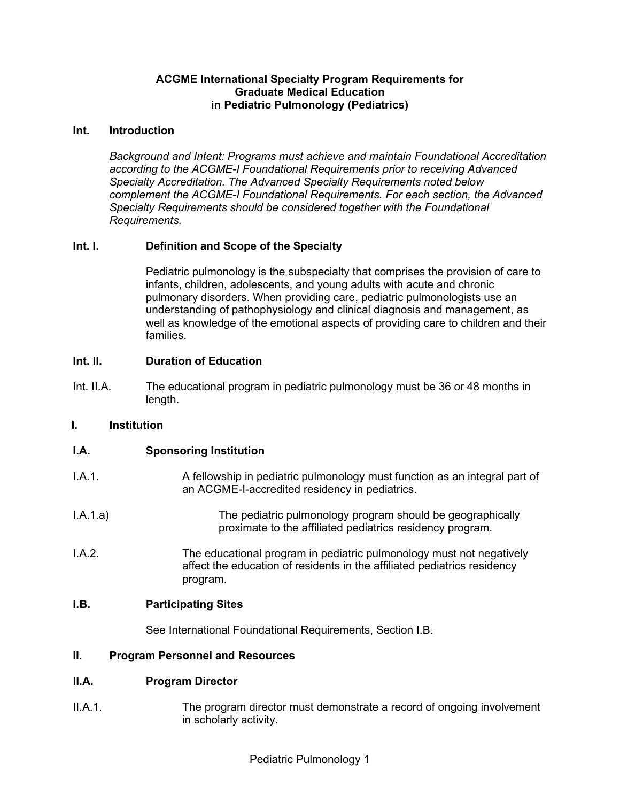## **ACGME International Specialty Program Requirements for Graduate Medical Education in Pediatric Pulmonology (Pediatrics)**

#### **Int. Introduction**

*Background and Intent: Programs must achieve and maintain Foundational Accreditation according to the ACGME-I Foundational Requirements prior to receiving Advanced Specialty Accreditation. The Advanced Specialty Requirements noted below complement the ACGME-I Foundational Requirements. For each section, the Advanced Specialty Requirements should be considered together with the Foundational Requirements.*

## **Int. I. Definition and Scope of the Specialty**

Pediatric pulmonology is the subspecialty that comprises the provision of care to infants, children, adolescents, and young adults with acute and chronic pulmonary disorders. When providing care, pediatric pulmonologists use an understanding of pathophysiology and clinical diagnosis and management, as well as knowledge of the emotional aspects of providing care to children and their families.

## **Int. II. Duration of Education**

Int. II.A. The educational program in pediatric pulmonology must be 36 or 48 months in length.

## **I. Institution**

## **I.A. Sponsoring Institution**

- I.A.1. A fellowship in pediatric pulmonology must function as an integral part of an ACGME-I-accredited residency in pediatrics.
- I.A.1.a) The pediatric pulmonology program should be geographically proximate to the affiliated pediatrics residency program.
- I.A.2. The educational program in pediatric pulmonology must not negatively affect the education of residents in the affiliated pediatrics residency program.

#### **I.B. Participating Sites**

See International Foundational Requirements, Section I.B.

#### **II. Program Personnel and Resources**

#### **II.A. Program Director**

II.A.1. The program director must demonstrate a record of ongoing involvement in scholarly activity.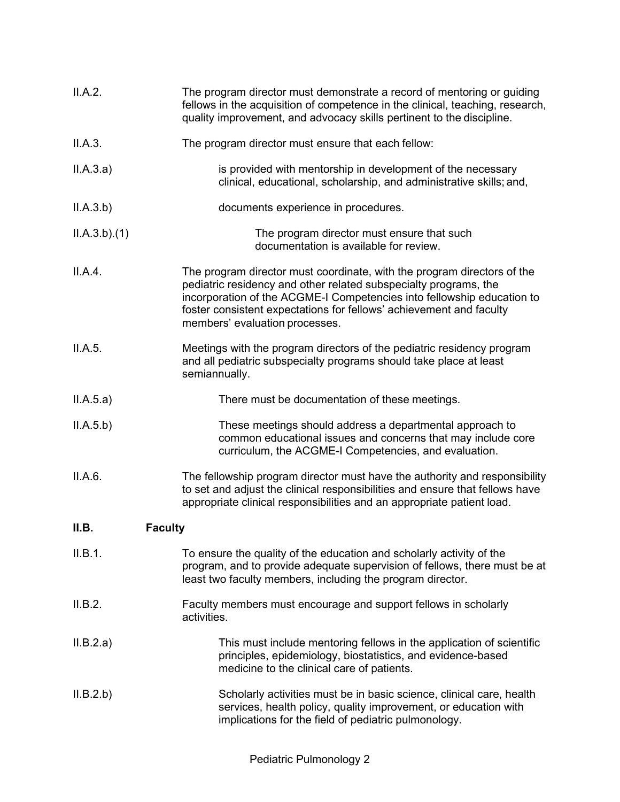| II.A.2.     | The program director must demonstrate a record of mentoring or guiding<br>fellows in the acquisition of competence in the clinical, teaching, research,<br>quality improvement, and advocacy skills pertinent to the discipline.                                                                                               |
|-------------|--------------------------------------------------------------------------------------------------------------------------------------------------------------------------------------------------------------------------------------------------------------------------------------------------------------------------------|
| II.A.3.     | The program director must ensure that each fellow:                                                                                                                                                                                                                                                                             |
| II.A.3.a)   | is provided with mentorship in development of the necessary<br>clinical, educational, scholarship, and administrative skills; and,                                                                                                                                                                                             |
| II.A.3.b)   | documents experience in procedures.                                                                                                                                                                                                                                                                                            |
| ILA.3.b)(1) | The program director must ensure that such<br>documentation is available for review.                                                                                                                                                                                                                                           |
| II.A.4.     | The program director must coordinate, with the program directors of the<br>pediatric residency and other related subspecialty programs, the<br>incorporation of the ACGME-I Competencies into fellowship education to<br>foster consistent expectations for fellows' achievement and faculty<br>members' evaluation processes. |
| II.A.5.     | Meetings with the program directors of the pediatric residency program<br>and all pediatric subspecialty programs should take place at least<br>semiannually.                                                                                                                                                                  |
| II.A.5.a)   | There must be documentation of these meetings.                                                                                                                                                                                                                                                                                 |
| II.A.5.b)   | These meetings should address a departmental approach to<br>common educational issues and concerns that may include core<br>curriculum, the ACGME-I Competencies, and evaluation.                                                                                                                                              |
| II.A.6.     | The fellowship program director must have the authority and responsibility<br>to set and adjust the clinical responsibilities and ensure that fellows have<br>appropriate clinical responsibilities and an appropriate patient load.                                                                                           |
| II.B.       | <b>Faculty</b>                                                                                                                                                                                                                                                                                                                 |
| II.B.1.     | To ensure the quality of the education and scholarly activity of the<br>program, and to provide adequate supervision of fellows, there must be at<br>least two faculty members, including the program director.                                                                                                                |
| II.B.2.     | Faculty members must encourage and support fellows in scholarly<br>activities.                                                                                                                                                                                                                                                 |
| II.B.2.a)   | This must include mentoring fellows in the application of scientific<br>principles, epidemiology, biostatistics, and evidence-based<br>medicine to the clinical care of patients.                                                                                                                                              |
| II.B.2.b)   | Scholarly activities must be in basic science, clinical care, health<br>services, health policy, quality improvement, or education with<br>implications for the field of pediatric pulmonology.                                                                                                                                |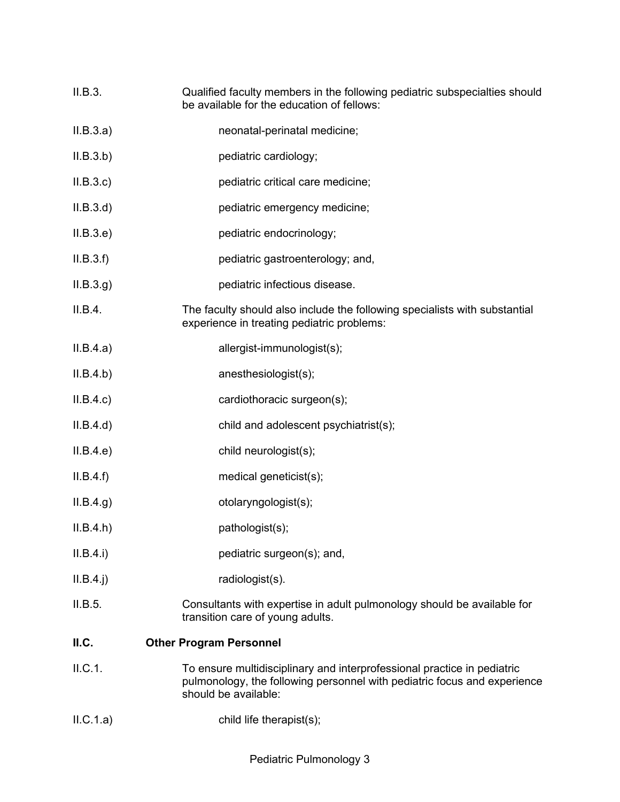- II.B.3. Qualified faculty members in the following pediatric subspecialties should be available for the education of fellows:
- II.B.3.a) neonatal-perinatal medicine;
- II.B.3.b) pediatric cardiology;
- II.B.3.c) pediatric critical care medicine;
- II.B.3.d) pediatric emergency medicine;
- II.B.3.e) pediatric endocrinology;
- II.B.3.f) pediatric gastroenterology; and,
- II.B.3.g) pediatric infectious disease.
- II.B.4. The faculty should also include the following specialists with substantial experience in treating pediatric problems:
- II.B.4.a) allergist-immunologist(s);
- II.B.4.b) anesthesiologist(s);
- II.B.4.c) cardiothoracic surgeon(s);
- II.B.4.d) child and adolescent psychiatrist(s);
- II.B.4.e) child neurologist(s);
- II.B.4.f) medical geneticist(s);
- II.B.4.g) otolaryngologist(s);
- II.B.4.h) pathologist(s);
- II.B.4.i) pediatric surgeon(s); and,
- II.B.4.j) radiologist(s).
- II.B.5. Consultants with expertise in adult pulmonology should be available for transition care of young adults.

## **II.C. Other Program Personnel**

- II.C.1. To ensure multidisciplinary and interprofessional practice in pediatric pulmonology, the following personnel with pediatric focus and experience should be available:
- II.C.1.a) child life therapist(s);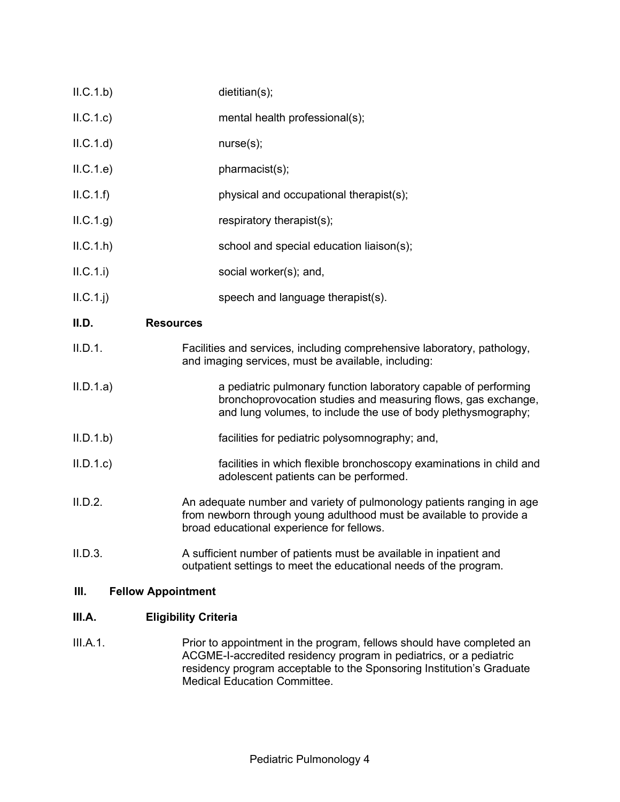| ILC.1.b)   | dietitian(s);                                                                                                                                                                                     |
|------------|---------------------------------------------------------------------------------------------------------------------------------------------------------------------------------------------------|
| ILC.1.c)   | mental health professional(s);                                                                                                                                                                    |
| ILC.1.d    | nurse(s);                                                                                                                                                                                         |
| ILC.1.e)   | pharmacist(s);                                                                                                                                                                                    |
| ILC.1.f)   | physical and occupational therapist(s);                                                                                                                                                           |
| ILC.1.g)   | respiratory therapist(s);                                                                                                                                                                         |
| ILC.1.h    | school and special education liaison(s);                                                                                                                                                          |
| II.C.1.i)  | social worker(s); and,                                                                                                                                                                            |
| $ILC.1.$ j | speech and language therapist(s).                                                                                                                                                                 |
| II.D.      | <b>Resources</b>                                                                                                                                                                                  |
| II.D.1.    | Facilities and services, including comprehensive laboratory, pathology,<br>and imaging services, must be available, including:                                                                    |
| II.D.1.a)  | a pediatric pulmonary function laboratory capable of performing<br>bronchoprovocation studies and measuring flows, gas exchange,<br>and lung volumes, to include the use of body plethysmography; |
| II.D.1.b   | facilities for pediatric polysomnography; and,                                                                                                                                                    |
| II.D.1.c   | facilities in which flexible bronchoscopy examinations in child and<br>adolescent patients can be performed.                                                                                      |
| II.D.2.    | An adequate number and variety of pulmonology patients ranging in age<br>from newborn through young adulthood must be available to provide a<br>broad educational experience for fellows.         |
| II.D.3.    | A sufficient number of patients must be available in inpatient and<br>outpatient settings to meet the educational needs of the program.                                                           |

## **III. Fellow Appointment**

# **III.A. Eligibility Criteria**

III.A.1. **Prior to appointment in the program, fellows should have completed an** ACGME-I-accredited residency program in pediatrics, or a pediatric residency program acceptable to the Sponsoring Institution's Graduate Medical Education Committee.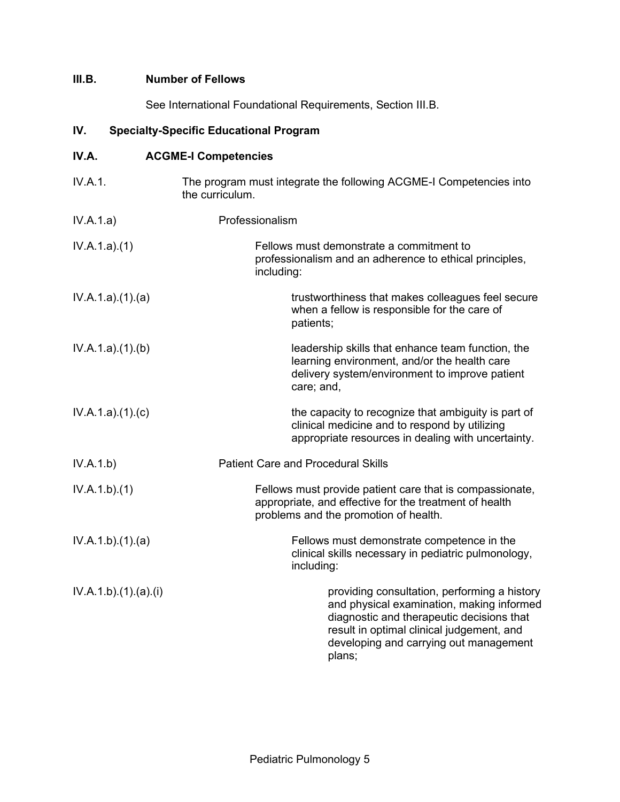## **III.B. Number of Fellows**

See International Foundational Requirements, Section III.B.

# **IV. Specialty-Specific Educational Program**

| IV.A.               | <b>ACGME-I Competencies</b> |                                                                                                                                                                                                                                         |  |
|---------------------|-----------------------------|-----------------------------------------------------------------------------------------------------------------------------------------------------------------------------------------------------------------------------------------|--|
| IV.A.1.             | the curriculum.             | The program must integrate the following ACGME-I Competencies into                                                                                                                                                                      |  |
| IV.A.1.a)           | Professionalism             |                                                                                                                                                                                                                                         |  |
| IV.A.1.a)(1)        | including:                  | Fellows must demonstrate a commitment to<br>professionalism and an adherence to ethical principles,                                                                                                                                     |  |
| IV.A.1.a)(1)(a)     |                             | trustworthiness that makes colleagues feel secure<br>when a fellow is responsible for the care of<br>patients;                                                                                                                          |  |
| IV.A.1.a)(1)(b)     |                             | leadership skills that enhance team function, the<br>learning environment, and/or the health care<br>delivery system/environment to improve patient<br>care; and,                                                                       |  |
| IV.A.1.a)(1)(c)     |                             | the capacity to recognize that ambiguity is part of<br>clinical medicine and to respond by utilizing<br>appropriate resources in dealing with uncertainty.                                                                              |  |
| IV.A.1.b)           |                             | <b>Patient Care and Procedural Skills</b>                                                                                                                                                                                               |  |
| IV.A.1.b)(1)        |                             | Fellows must provide patient care that is compassionate,<br>appropriate, and effective for the treatment of health<br>problems and the promotion of health.                                                                             |  |
| IV.A.1.b)(1)(a)     |                             | Fellows must demonstrate competence in the<br>clinical skills necessary in pediatric pulmonology,<br>including:                                                                                                                         |  |
| IV.A.1.b)(1).(a)(i) |                             | providing consultation, performing a history<br>and physical examination, making informed<br>diagnostic and therapeutic decisions that<br>result in optimal clinical judgement, and<br>developing and carrying out management<br>plans; |  |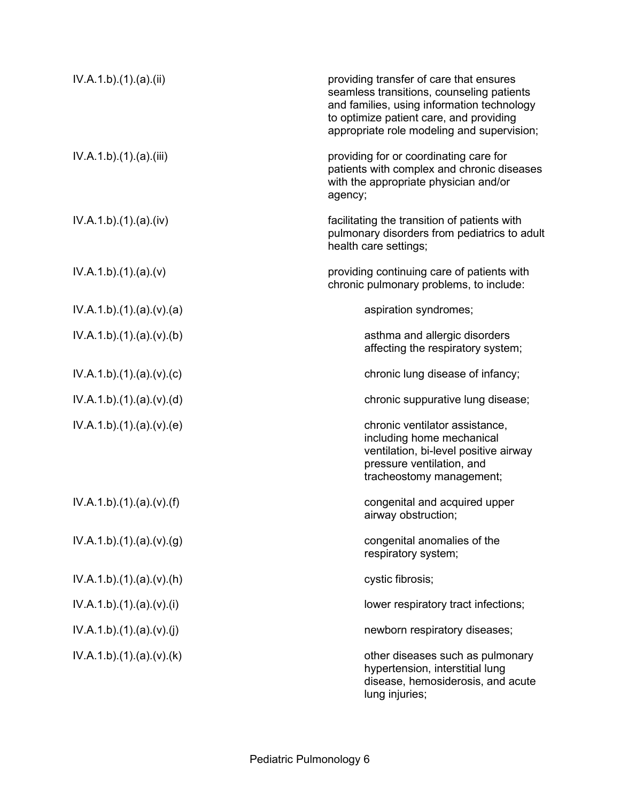| IV.A.1.b)(1)(a)(ii)     | providing transfer of care that ensures<br>seamless transitions, counseling patients<br>and families, using information technology<br>to optimize patient care, and providing<br>appropriate role modeling and supervision; |
|-------------------------|-----------------------------------------------------------------------------------------------------------------------------------------------------------------------------------------------------------------------------|
| IV.A.1.b)(1)(a)(iii)    | providing for or coordinating care for<br>patients with complex and chronic diseases<br>with the appropriate physician and/or<br>agency;                                                                                    |
| IV.A.1.b)(1)(a)(iv)     | facilitating the transition of patients with<br>pulmonary disorders from pediatrics to adult<br>health care settings;                                                                                                       |
| IV.A.1.b)(1)(a)(v)      | providing continuing care of patients with<br>chronic pulmonary problems, to include:                                                                                                                                       |
| IV.A.1.b)(1)(a)(v)(a)   | aspiration syndromes;                                                                                                                                                                                                       |
| IV.A.1.b)(1)(a)(v)(b)   | asthma and allergic disorders<br>affecting the respiratory system;                                                                                                                                                          |
| IV.A.1.b)(1)(a)(v)(c)   | chronic lung disease of infancy;                                                                                                                                                                                            |
| IV.A.1.b)(1)(a)(v)(d)   | chronic suppurative lung disease;                                                                                                                                                                                           |
| IV.A.1.b)(1).(a)(v).(e) | chronic ventilator assistance,<br>including home mechanical<br>ventilation, bi-level positive airway<br>pressure ventilation, and<br>tracheostomy management;                                                               |
| IV.A.1.b)(1)(a)(v)(f)   | congenital and acquired upper<br>airway obstruction;                                                                                                                                                                        |
| IV.A.1.b)(1)(a)(v)(g)   | congenital anomalies of the<br>respiratory system;                                                                                                                                                                          |
| IV.A.1.b)(1)(a)(v)(h)   | cystic fibrosis;                                                                                                                                                                                                            |
| IV.A.1.b)(1)(a)(v)(i)   | lower respiratory tract infections;                                                                                                                                                                                         |
| IV.A.1.b)(1)(a)(v)(j)   | newborn respiratory diseases;                                                                                                                                                                                               |
| IV.A.1.b)(1)(a)(v)(k)   | other diseases such as pulmonary<br>hypertension, interstitial lung<br>disease, hemosiderosis, and acute<br>lung injuries;                                                                                                  |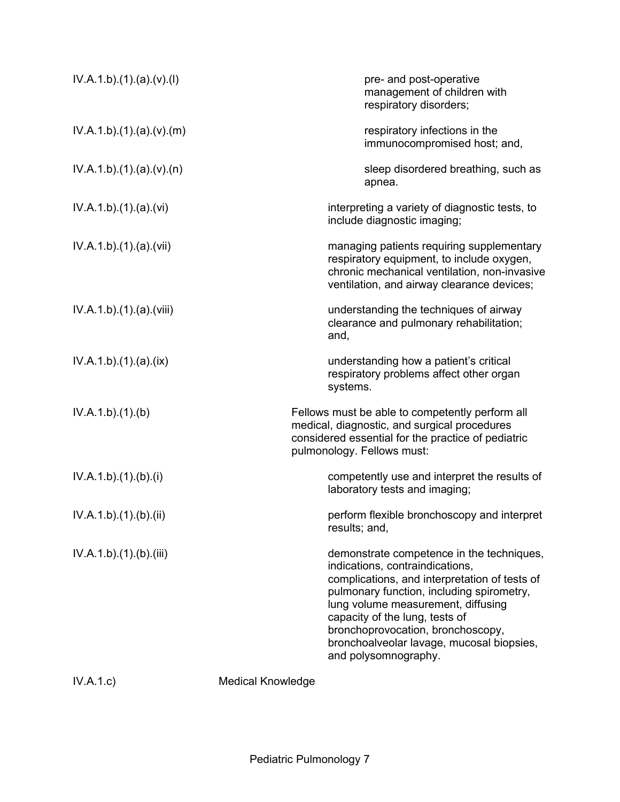| IV.A.1.b)(1)(a)(v)(l)   |                          | pre- and post-operative<br>management of children with<br>respiratory disorders;                                                                                                                                                                                                                                                                             |
|-------------------------|--------------------------|--------------------------------------------------------------------------------------------------------------------------------------------------------------------------------------------------------------------------------------------------------------------------------------------------------------------------------------------------------------|
| IV.A.1.b)(1)(a)(v)(m)   |                          | respiratory infections in the<br>immunocompromised host; and,                                                                                                                                                                                                                                                                                                |
| IV.A.1.b)(1)(a)(v)(n)   |                          | sleep disordered breathing, such as<br>apnea.                                                                                                                                                                                                                                                                                                                |
| IV.A.1.b)(1)(a)(vi)     |                          | interpreting a variety of diagnostic tests, to<br>include diagnostic imaging;                                                                                                                                                                                                                                                                                |
| IV.A.1.b).(1).(a).(vii) |                          | managing patients requiring supplementary<br>respiratory equipment, to include oxygen,<br>chronic mechanical ventilation, non-invasive<br>ventilation, and airway clearance devices;                                                                                                                                                                         |
| IV.A.1.b)(1)(a)(viii)   |                          | understanding the techniques of airway<br>clearance and pulmonary rehabilitation;<br>and,                                                                                                                                                                                                                                                                    |
| IV.A.1.b)(1)(a)(ix)     |                          | understanding how a patient's critical<br>respiratory problems affect other organ<br>systems.                                                                                                                                                                                                                                                                |
| IV.A.1.b)(1)(b)         |                          | Fellows must be able to competently perform all<br>medical, diagnostic, and surgical procedures<br>considered essential for the practice of pediatric<br>pulmonology. Fellows must:                                                                                                                                                                          |
| IV.A.1.b)(1)(b)(i)      |                          | competently use and interpret the results of<br>laboratory tests and imaging;                                                                                                                                                                                                                                                                                |
| IV.A.1.b).(1).(b).(ii)  |                          | perform flexible bronchoscopy and interpret<br>results; and,                                                                                                                                                                                                                                                                                                 |
| IV.A.1.b)(1)(b)(iii)    |                          | demonstrate competence in the techniques,<br>indications, contraindications,<br>complications, and interpretation of tests of<br>pulmonary function, including spirometry,<br>lung volume measurement, diffusing<br>capacity of the lung, tests of<br>bronchoprovocation, bronchoscopy,<br>bronchoalveolar lavage, mucosal biopsies,<br>and polysomnography. |
| IV.A.1.c)               | <b>Medical Knowledge</b> |                                                                                                                                                                                                                                                                                                                                                              |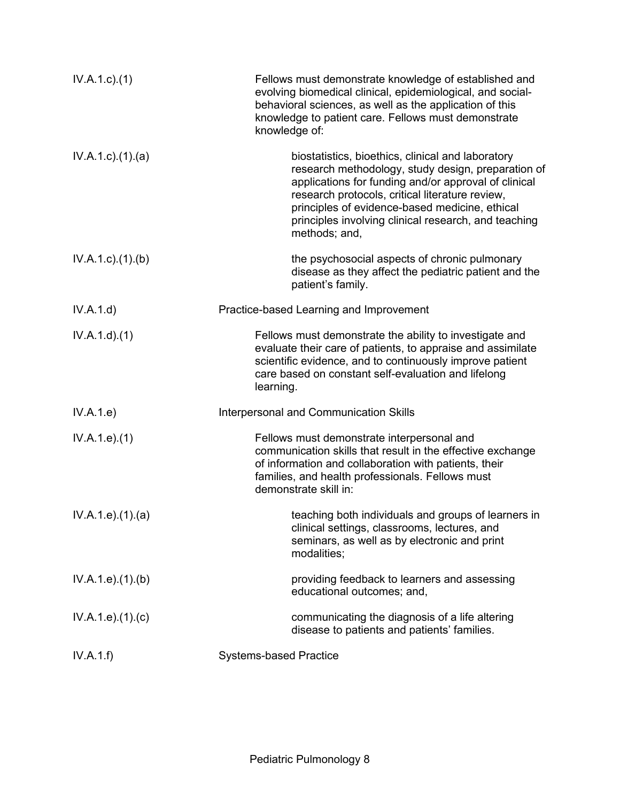| $IV.A.1.c.$ (1)           | Fellows must demonstrate knowledge of established and<br>evolving biomedical clinical, epidemiological, and social-<br>behavioral sciences, as well as the application of this<br>knowledge to patient care. Fellows must demonstrate<br>knowledge of:                                                                                        |
|---------------------------|-----------------------------------------------------------------------------------------------------------------------------------------------------------------------------------------------------------------------------------------------------------------------------------------------------------------------------------------------|
| $IV.A.1.c$ . $(1).$ $(a)$ | biostatistics, bioethics, clinical and laboratory<br>research methodology, study design, preparation of<br>applications for funding and/or approval of clinical<br>research protocols, critical literature review,<br>principles of evidence-based medicine, ethical<br>principles involving clinical research, and teaching<br>methods; and, |
| $IV.A.1.c$ . $(1).$ (b)   | the psychosocial aspects of chronic pulmonary<br>disease as they affect the pediatric patient and the<br>patient's family.                                                                                                                                                                                                                    |
| IV.A.1.d)                 | Practice-based Learning and Improvement                                                                                                                                                                                                                                                                                                       |
| IV.A.1.d)(1)              | Fellows must demonstrate the ability to investigate and<br>evaluate their care of patients, to appraise and assimilate<br>scientific evidence, and to continuously improve patient<br>care based on constant self-evaluation and lifelong<br>learning.                                                                                        |
| IV.A.1.e)                 | Interpersonal and Communication Skills                                                                                                                                                                                                                                                                                                        |
| IV.A.1.e. (1)             | Fellows must demonstrate interpersonal and<br>communication skills that result in the effective exchange<br>of information and collaboration with patients, their<br>families, and health professionals. Fellows must<br>demonstrate skill in:                                                                                                |
| IV.A.1.e. (1)(a)          | teaching both individuals and groups of learners in<br>clinical settings, classrooms, lectures, and<br>seminars, as well as by electronic and print<br>modalities;                                                                                                                                                                            |
| IV.A.1.e. (1). (b)        | providing feedback to learners and assessing<br>educational outcomes; and,                                                                                                                                                                                                                                                                    |
| IV.A.1.e. (1). (c)        | communicating the diagnosis of a life altering<br>disease to patients and patients' families.                                                                                                                                                                                                                                                 |
| IV.A.1.f)                 | <b>Systems-based Practice</b>                                                                                                                                                                                                                                                                                                                 |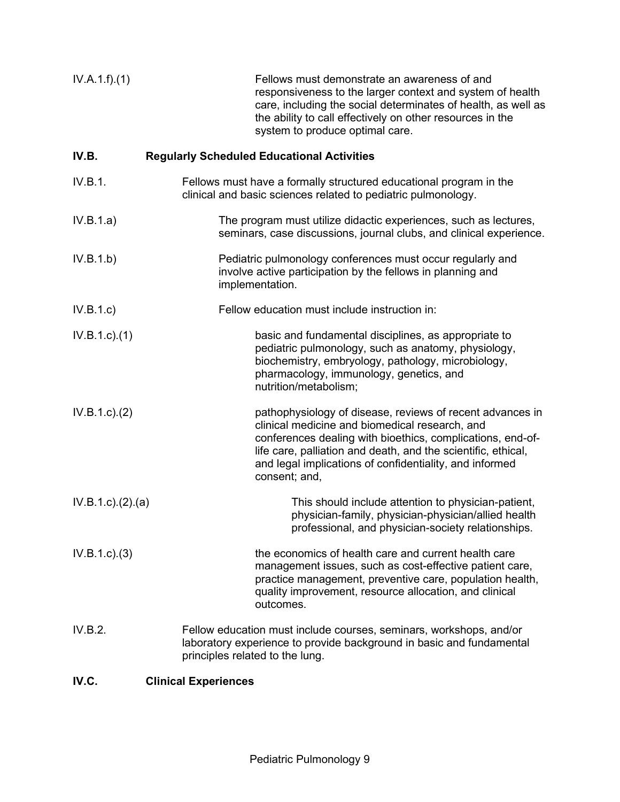| IV.A.1.f)(1)        | Fellows must demonstrate an awareness of and<br>responsiveness to the larger context and system of health<br>care, including the social determinates of health, as well as<br>the ability to call effectively on other resources in the<br>system to produce optimal care.                                             |  |
|---------------------|------------------------------------------------------------------------------------------------------------------------------------------------------------------------------------------------------------------------------------------------------------------------------------------------------------------------|--|
| IV.B.               | <b>Regularly Scheduled Educational Activities</b>                                                                                                                                                                                                                                                                      |  |
| IV.B.1.             | Fellows must have a formally structured educational program in the<br>clinical and basic sciences related to pediatric pulmonology.                                                                                                                                                                                    |  |
| IV.B.1.a)           | The program must utilize didactic experiences, such as lectures,<br>seminars, case discussions, journal clubs, and clinical experience.                                                                                                                                                                                |  |
| IV.B.1.b)           | Pediatric pulmonology conferences must occur regularly and<br>involve active participation by the fellows in planning and<br>implementation.                                                                                                                                                                           |  |
| IV.B.1.c)           | Fellow education must include instruction in:                                                                                                                                                                                                                                                                          |  |
| $IV.B.1.c.$ (1)     | basic and fundamental disciplines, as appropriate to<br>pediatric pulmonology, such as anatomy, physiology,<br>biochemistry, embryology, pathology, microbiology,<br>pharmacology, immunology, genetics, and<br>nutrition/metabolism;                                                                                  |  |
| IV.B.1.c.2)         | pathophysiology of disease, reviews of recent advances in<br>clinical medicine and biomedical research, and<br>conferences dealing with bioethics, complications, end-of-<br>life care, palliation and death, and the scientific, ethical,<br>and legal implications of confidentiality, and informed<br>consent; and, |  |
| IV.B.1.c). (2). (a) | This should include attention to physician-patient,<br>physician-family, physician-physician/allied health<br>professional, and physician-society relationships.                                                                                                                                                       |  |
| IV.B.1.c.3)         | the economics of health care and current health care<br>management issues, such as cost-effective patient care,<br>practice management, preventive care, population health,<br>quality improvement, resource allocation, and clinical<br>outcomes.                                                                     |  |
| IV.B.2.             | Fellow education must include courses, seminars, workshops, and/or<br>laboratory experience to provide background in basic and fundamental<br>principles related to the lung.                                                                                                                                          |  |
|                     |                                                                                                                                                                                                                                                                                                                        |  |

## **IV.C. Clinical Experiences**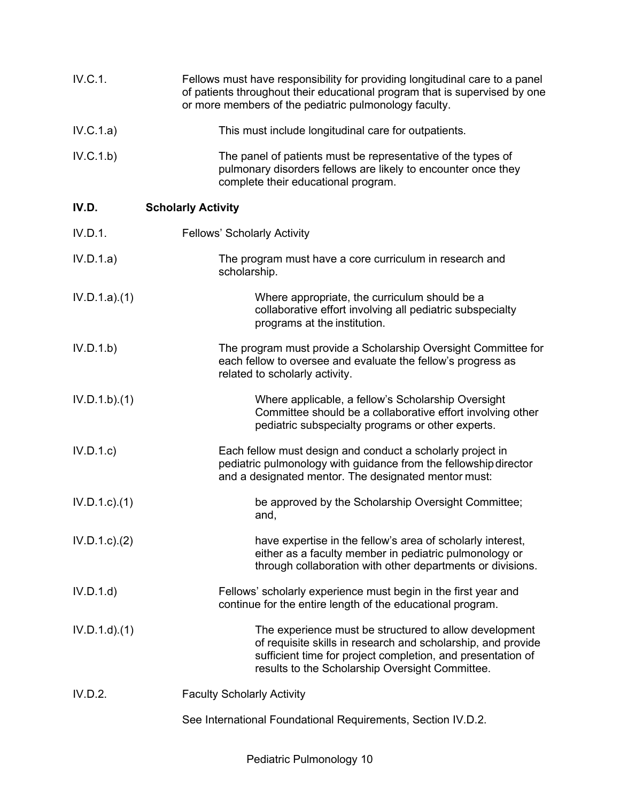| IV.C.1.          | Fellows must have responsibility for providing longitudinal care to a panel<br>of patients throughout their educational program that is supervised by one<br>or more members of the pediatric pulmonology faculty.                       |
|------------------|------------------------------------------------------------------------------------------------------------------------------------------------------------------------------------------------------------------------------------------|
| IV.C.1.a)        | This must include longitudinal care for outpatients.                                                                                                                                                                                     |
| IV.C.1.b)        | The panel of patients must be representative of the types of<br>pulmonary disorders fellows are likely to encounter once they<br>complete their educational program.                                                                     |
| IV.D.            | <b>Scholarly Activity</b>                                                                                                                                                                                                                |
| IV.D.1.          | <b>Fellows' Scholarly Activity</b>                                                                                                                                                                                                       |
| IV.D.1.a)        | The program must have a core curriculum in research and<br>scholarship.                                                                                                                                                                  |
| IV.D.1.a)(1)     | Where appropriate, the curriculum should be a<br>collaborative effort involving all pediatric subspecialty<br>programs at the institution.                                                                                               |
| IV.D.1.b)        | The program must provide a Scholarship Oversight Committee for<br>each fellow to oversee and evaluate the fellow's progress as<br>related to scholarly activity.                                                                         |
| IV.D.1.b)(1)     | Where applicable, a fellow's Scholarship Oversight<br>Committee should be a collaborative effort involving other<br>pediatric subspecialty programs or other experts.                                                                    |
| IV.D.1.c         | Each fellow must design and conduct a scholarly project in<br>pediatric pulmonology with guidance from the fellowship director<br>and a designated mentor. The designated mentor must:                                                   |
| $IV.D.1.c$ $(1)$ | be approved by the Scholarship Oversight Committee;<br>and,                                                                                                                                                                              |
| IV.D.1.c.2)      | have expertise in the fellow's area of scholarly interest,<br>either as a faculty member in pediatric pulmonology or<br>through collaboration with other departments or divisions.                                                       |
| IV.D.1.d         | Fellows' scholarly experience must begin in the first year and<br>continue for the entire length of the educational program.                                                                                                             |
| $IV.D.1.d$ $(1)$ | The experience must be structured to allow development<br>of requisite skills in research and scholarship, and provide<br>sufficient time for project completion, and presentation of<br>results to the Scholarship Oversight Committee. |
| IV.D.2.          | <b>Faculty Scholarly Activity</b>                                                                                                                                                                                                        |
|                  | See International Foundational Requirements, Section IV.D.2.                                                                                                                                                                             |